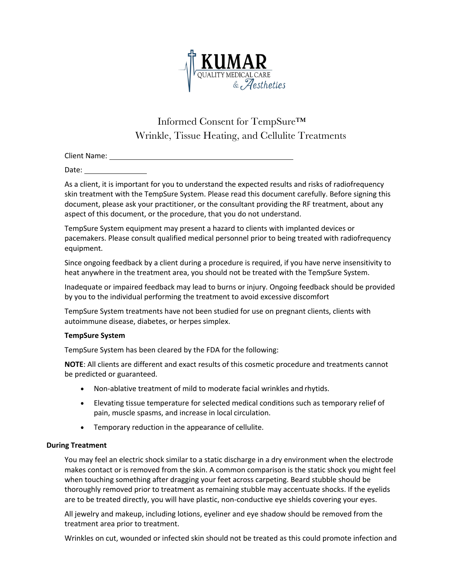

# Informed Consent for TempSure™ Wrinkle, Tissue Heating, and Cellulite Treatments

Client Name:

Date:

As a client, it is important for you to understand the expected results and risks of radiofrequency skin treatment with the TempSure System. Please read this document carefully. Before signing this document, please ask your practitioner, or the consultant providing the RF treatment, about any aspect of this document, or the procedure, that you do not understand.

TempSure System equipment may present a hazard to clients with implanted devices or pacemakers. Please consult qualified medical personnel prior to being treated with radiofrequency equipment.

Since ongoing feedback by a client during a procedure is required, if you have nerve insensitivity to heat anywhere in the treatment area, you should not be treated with the TempSure System.

Inadequate or impaired feedback may lead to burns or injury. Ongoing feedback should be provided by you to the individual performing the treatment to avoid excessive discomfort

TempSure System treatments have not been studied for use on pregnant clients, clients with autoimmune disease, diabetes, or herpes simplex.

### **TempSure System**

TempSure System has been cleared by the FDA for the following:

**NOTE**: All clients are different and exact results of this cosmetic procedure and treatments cannot be predicted or guaranteed.

- Non-ablative treatment of mild to moderate facial wrinkles and rhytids.
- Elevating tissue temperature for selected medical conditions such as temporary relief of pain, muscle spasms, and increase in local circulation.
- Temporary reduction in the appearance of cellulite.

### **During Treatment**

You may feel an electric shock similar to a static discharge in a dry environment when the electrode makes contact or is removed from the skin. A common comparison is the static shock you might feel when touching something after dragging your feet across carpeting. Beard stubble should be thoroughly removed prior to treatment as remaining stubble may accentuate shocks. If the eyelids are to be treated directly, you will have plastic, non-conductive eye shields covering your eyes.

All jewelry and makeup, including lotions, eyeliner and eye shadow should be removed from the treatment area prior to treatment.

Wrinkles on cut, wounded or infected skin should not be treated as this could promote infection and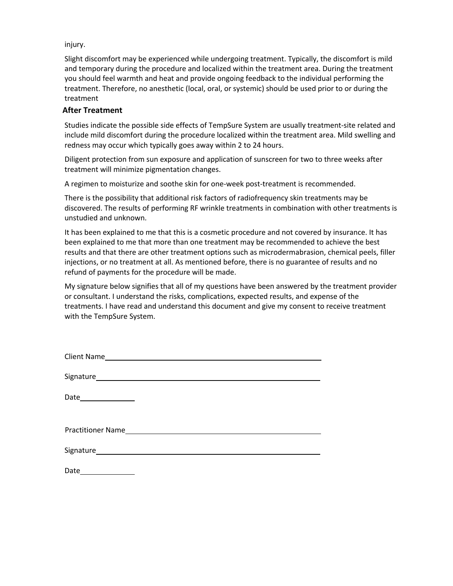injury.

Slight discomfort may be experienced while undergoing treatment. Typically, the discomfort is mild and temporary during the procedure and localized within the treatment area. During the treatment you should feel warmth and heat and provide ongoing feedback to the individual performing the treatment. Therefore, no anesthetic (local, oral, or systemic) should be used prior to or during the treatment

### **After Treatment**

Studies indicate the possible side effects of TempSure System are usually treatment-site related and include mild discomfort during the procedure localized within the treatment area. Mild swelling and redness may occur which typically goes away within 2 to 24 hours.

Diligent protection from sun exposure and application of sunscreen for two to three weeks after treatment will minimize pigmentation changes.

A regimen to moisturize and soothe skin for one-week post-treatment is recommended.

There is the possibility that additional risk factors of radiofrequency skin treatments may be discovered. The results of performing RF wrinkle treatments in combination with other treatments is unstudied and unknown.

It has been explained to me that this is a cosmetic procedure and not covered by insurance. It has been explained to me that more than one treatment may be recommended to achieve the best results and that there are other treatment options such as microdermabrasion, chemical peels, filler injections, or no treatment at all. As mentioned before, there is no guarantee of results and no refund of payments for the procedure will be made.

My signature below signifies that all of my questions have been answered by the treatment provider or consultant. I understand the risks, complications, expected results, and expense of the treatments. I have read and understand this document and give my consent to receive treatment with the TempSure System.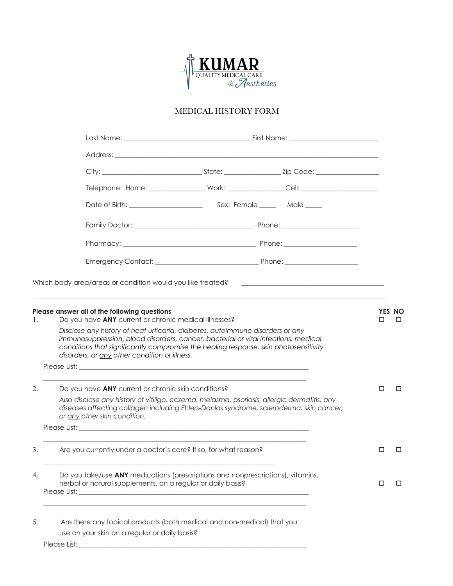

## MEDICAL HISTORY FORM

|                                                                                                             | Which body area/areas or condition would you like treated?                                                                                                                                                                                                                                                   |  | the control of the control of the control of the control of the control of the control of |   |                    |
|-------------------------------------------------------------------------------------------------------------|--------------------------------------------------------------------------------------------------------------------------------------------------------------------------------------------------------------------------------------------------------------------------------------------------------------|--|-------------------------------------------------------------------------------------------|---|--------------------|
| Please answer all of the following questions<br>Do you have ANY current or chronic medical illnesses?<br>1. |                                                                                                                                                                                                                                                                                                              |  |                                                                                           |   | <b>YES NO</b><br>□ |
|                                                                                                             | Disclose any history of heat urticaria, diabetes, autoimmune disorders or any<br>immunosuppression, blood disorders, cancer, bacterial or viral infections, medical<br>conditions that significantly compromise the healing response, skin photosensitivity<br>disorders, or any other condition or illness. |  |                                                                                           |   |                    |
|                                                                                                             |                                                                                                                                                                                                                                                                                                              |  |                                                                                           |   |                    |
| 2.                                                                                                          | Do you have <b>ANY</b> current or chronic skin conditions?                                                                                                                                                                                                                                                   |  |                                                                                           | □ | □                  |
|                                                                                                             | Also disclose any history of vitiligo, eczema, melasma, psoriasis, allergic dermatitis, any<br>diseases affecting collagen including Ehlers-Danlos syndrome, scleroderma, skin cancer,<br>or any other skin condition.                                                                                       |  |                                                                                           |   |                    |
|                                                                                                             |                                                                                                                                                                                                                                                                                                              |  |                                                                                           |   |                    |
| 3.                                                                                                          | Are you currently under a doctor's care? If so, for what reason?                                                                                                                                                                                                                                             |  |                                                                                           | □ | □                  |
| 4.                                                                                                          | Do you take/use ANY medications (prescriptions and nonprescriptions), vitamins,<br>herbal or natural supplements, on a regular or daily basis?                                                                                                                                                               |  |                                                                                           | □ | □                  |
| 5.                                                                                                          | Are there any topical products (both medical and non-medical) that you<br>use on your skin on a regular or daily basis?                                                                                                                                                                                      |  |                                                                                           |   |                    |
|                                                                                                             | Please List:                                                                                                                                                                                                                                                                                                 |  |                                                                                           |   |                    |